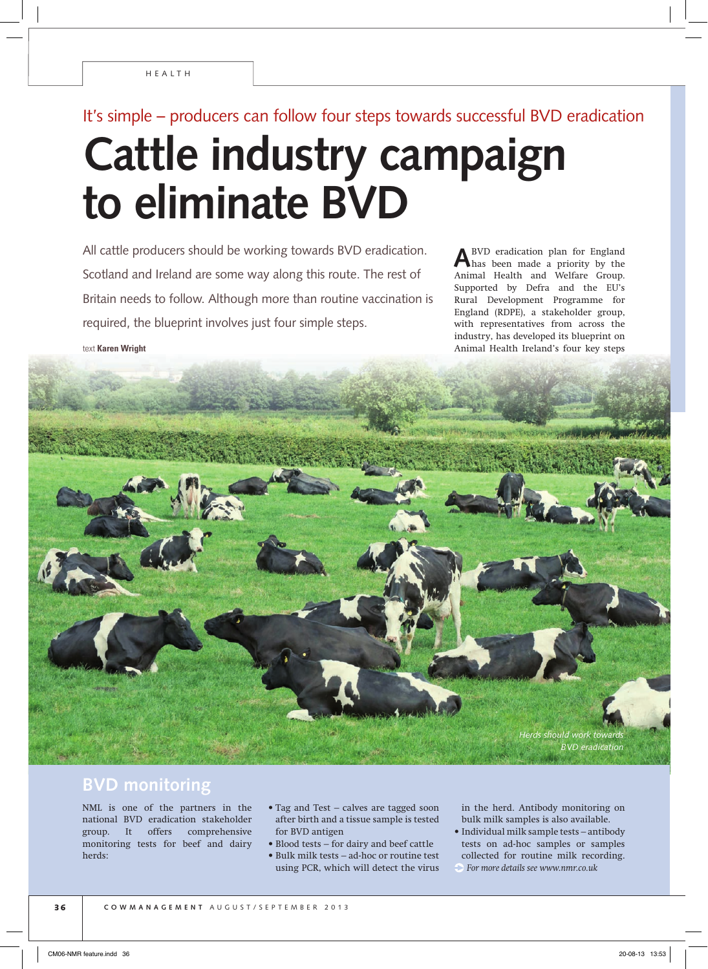text **Karen Wright**

# It's simple – producers can follow four steps towards successful BVD eradication **Cattle industry campaign to eliminate BVD**

All cattle producers should be working towards BVD eradication. Scotland and Ireland are some way along this route. The rest of Britain needs to follow. Although more than routine vaccination is required, the blueprint involves just four simple steps.

**A** BVD eradication plan for England has been made a priority by the Animal Health and Welfare Group. Supported by Defra and the EU's Rural Development Programme for England (RDPE), a stakeholder group, with representatives from across the industry, has developed its blueprint on Animal Health Ireland's four key steps



## **BVD monitoring**

NML is one of the partners in the national BVD eradication stakeholder group. It offers comprehensive monitoring tests for beef and dairy herds:

- Tag and Test calves are tagged soon after birth and a tissue sample is tested for BVD antigen
- Blood tests for dairy and beef cattle • Bulk milk tests – ad-hoc or routine test using PCR, which will detect the virus

in the herd. Antibody monitoring on bulk milk samples is also available.

• Individual milk sample tests – antibody tests on ad-hoc samples or samples collected for routine milk recording. *For more details see www.nmr.co.uk*